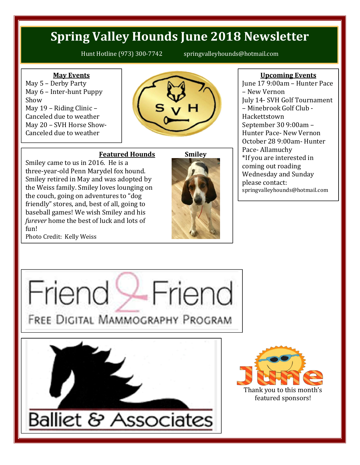# **Spring Valley Hounds June 2018 Newsletter**

Hunt Hotline (973) 300-7742 springvalleyhounds@hotmail.com

### **May Events**

May 5 – Derby Party May 6 – Inter-hunt Puppy Show May 19 – Riding Clinic – Canceled due to weather May 20 – SVH Horse Show-Canceled due to weather



## **Featured Hounds**

Smiley came to us in 2016. He is a three-year-old Penn Marydel fox hound. Smiley retired in May and was adopted by the Weiss family. Smiley loves lounging on the couch, going on adventures to "dog friendly" stores, and, best of all, going to baseball games! We wish Smiley and his *furever* home the best of luck and lots of fun!



#### **Upcoming Events**

June 17 9:00am – Hunter Pace – New Vernon July 14- SVH Golf Tournament – Minebrook Golf Club - Hackettstown September 30 9:00am – Hunter Pace- New Vernon October 28 9:00am- Hunter Pace- Allamuchy \*If you are interested in coming out roading Wednesday and Sunday please contact: springvalleyhounds@hotmail.com

Photo Credit: Kelly Weiss



**Balliet & Associates**